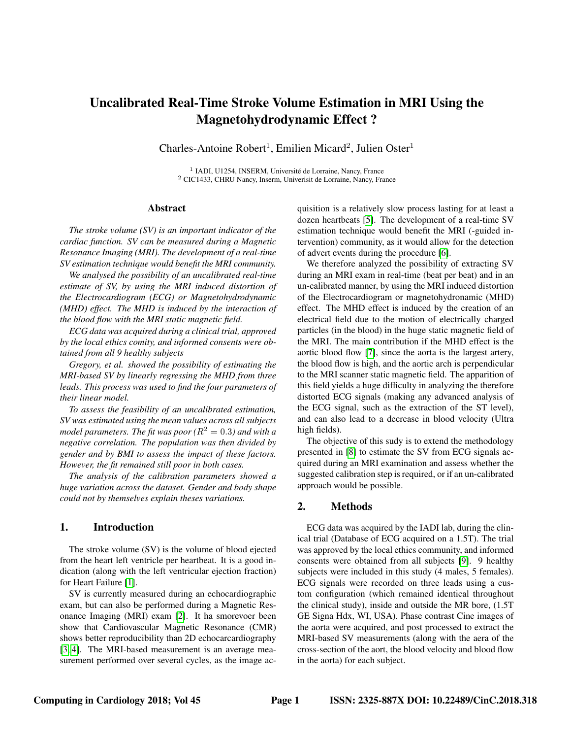# Uncalibrated Real-Time Stroke Volume Estimation in MRI Using the Magnetohydrodynamic Effect ?

Charles-Antoine Robert<sup>1</sup>, Emilien Micard<sup>2</sup>, Julien Oster<sup>1</sup>

<sup>1</sup> IADI, U1254, INSERM, Université de Lorraine, Nancy, France <sup>2</sup> CIC1433, CHRU Nancy, Inserm, Univerisit de Lorraine, Nancy, France

#### Abstract

*The stroke volume (SV) is an important indicator of the cardiac function. SV can be measured during a Magnetic Resonance Imaging (MRI). The development of a real-time SV estimation technique would benefit the MRI community.*

*We analysed the possibility of an uncalibrated real-time estimate of SV, by using the MRI induced distortion of the Electrocardiogram (ECG) or Magnetohydrodynamic (MHD) effect. The MHD is induced by the interaction of the blood flow with the MRI static magnetic field.*

*ECG data was acquired during a clinical trial, approved by the local ethics comity, and informed consents were obtained from all 9 healthy subjects*

*Gregory, et al. showed the possibility of estimating the MRI-based SV by linearly regressing the MHD from three leads. This process was used to find the four parameters of their linear model.*

*To assess the feasibility of an uncalibrated estimation, SV was estimated using the mean values across all subjects model parameters. The fit was poor* ( $R^2 = 0.3$ ) and with a *negative correlation. The population was then divided by gender and by BMI to assess the impact of these factors. However, the fit remained still poor in both cases.*

*The analysis of the calibration parameters showed a huge variation across the dataset. Gender and body shape could not by themselves explain theses variations.*

#### 1. Introduction

The stroke volume (SV) is the volume of blood ejected from the heart left ventricle per heartbeat. It is a good indication (along with the left ventricular ejection fraction) for Heart Failure [\[1\]](#page-3-0).

SV is currently measured during an echocardiographic exam, but can also be performed during a Magnetic Resonance Imaging (MRI) exam [\[2\]](#page-3-1). It ha smorevoer been show that Cardiovascular Magnetic Resonance (CMR) shows better reproducibility than 2D echocarcardiography [\[3,](#page-3-2) [4\]](#page-3-3). The MRI-based measurement is an average measurement performed over several cycles, as the image acquisition is a relatively slow process lasting for at least a dozen heartbeats [\[5\]](#page-3-4). The development of a real-time SV estimation technique would benefit the MRI (-guided intervention) community, as it would allow for the detection of advert events during the procedure [\[6\]](#page-3-5).

We therefore analyzed the possibility of extracting SV during an MRI exam in real-time (beat per beat) and in an un-calibrated manner, by using the MRI induced distortion of the Electrocardiogram or magnetohydronamic (MHD) effect. The MHD effect is induced by the creation of an electrical field due to the motion of electrically charged particles (in the blood) in the huge static magnetic field of the MRI. The main contribution if the MHD effect is the aortic blood flow [\[7\]](#page-3-6), since the aorta is the largest artery, the blood flow is high, and the aortic arch is perpendicular to the MRI scanner static magnetic field. The apparition of this field yields a huge difficulty in analyzing the therefore distorted ECG signals (making any advanced analysis of the ECG signal, such as the extraction of the ST level), and can also lead to a decrease in blood velocity (Ultra high fields).

The objective of this sudy is to extend the methodology presented in [\[8\]](#page-3-7) to estimate the SV from ECG signals acquired during an MRI examination and assess whether the suggested calibration step is required, or if an un-calibrated approach would be possible.

### 2. Methods

ECG data was acquired by the IADI lab, during the clinical trial (Database of ECG acquired on a 1.5T). The trial was approved by the local ethics community, and informed consents were obtained from all subjects [\[9\]](#page-3-8). 9 healthy subjects were included in this study (4 males, 5 females). ECG signals were recorded on three leads using a custom configuration (which remained identical throughout the clinical study), inside and outside the MR bore, (1.5T GE Signa Hdx, WI, USA). Phase contrast Cine images of the aorta were acquired, and post processed to extract the MRI-based SV measurements (along with the aera of the cross-section of the aort, the blood velocity and blood flow in the aorta) for each subject.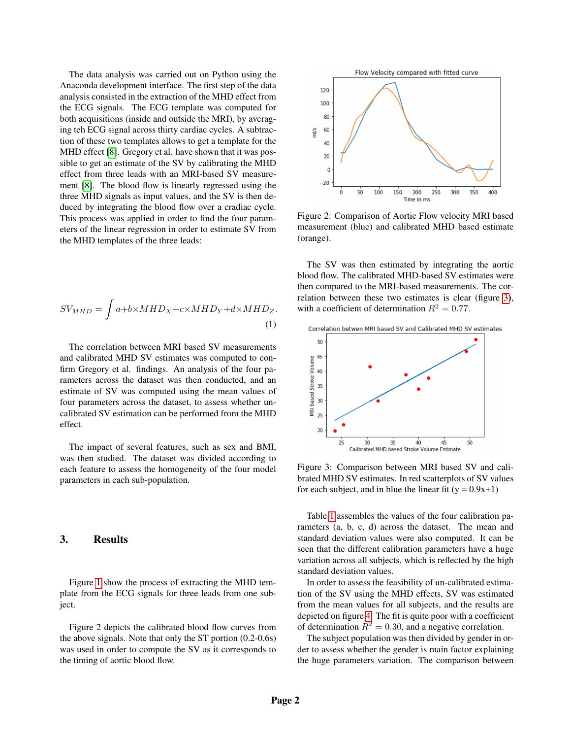The data analysis was carried out on Python using the Anaconda development interface. The first step of the data analysis consisted in the extraction of the MHD effect from the ECG signals. The ECG template was computed for both acquisitions (inside and outside the MRI), by averaging teh ECG signal across thirty cardiac cycles. A subtraction of these two templates allows to get a template for the MHD effect [\[8\]](#page-3-7). Gregory et al. have shown that it was possible to get an estimate of the SV by calibrating the MHD effect from three leads with an MRI-based SV measurement [\[8\]](#page-3-7). The blood flow is linearly regressed using the three MHD signals as input values, and the SV is then deduced by integrating the blood flow over a cradiac cycle. This process was applied in order to find the four parameters of the linear regression in order to estimate SV from the MHD templates of the three leads:

$$
SV_{MHD} = \int a + b \times MHD_X + c \times MHD_Y + d \times MHD_Z.
$$
\n(1)

The correlation between MRI based SV measurements and calibrated MHD SV estimates was computed to confirm Gregory et al. findings. An analysis of the four parameters across the dataset was then conducted, and an estimate of SV was computed using the mean values of four parameters across the dataset, to assess whether uncalibrated SV estimation can be performed from the MHD effect.

The impact of several features, such as sex and BMI, was then studied. The dataset was divided according to each feature to assess the homogeneity of the four model parameters in each sub-population.

### 3. Results

Figure [1](#page-2-0) show the process of extracting the MHD template from the ECG signals for three leads from one subject.

Figure 2 depicts the calibrated blood flow curves from the above signals. Note that only the ST portion (0.2-0.6s) was used in order to compute the SV as it corresponds to the timing of aortic blood flow.



Figure 2: Comparison of Aortic Flow velocity MRI based measurement (blue) and calibrated MHD based estimate (orange).

The SV was then estimated by integrating the aortic blood flow. The calibrated MHD-based SV estimates were then compared to the MRI-based measurements. The correlation between these two estimates is clear (figure [3\)](#page-1-0), with a coefficient of determination  $R^2 = 0.77$ .

<span id="page-1-0"></span>

Figure 3: Comparison between MRI based SV and calibrated MHD SV estimates. In red scatterplots of SV values for each subject, and in blue the linear fit  $(y = 0.9x+1)$ 

Table [1](#page-2-1) assembles the values of the four calibration parameters (a, b, c, d) across the dataset. The mean and standard deviation values were also computed. It can be seen that the different calibration parameters have a huge variation across all subjects, which is reflected by the high standard deviation values.

In order to assess the feasibility of un-calibrated estimation of the SV using the MHD effects, SV was estimated from the mean values for all subjects, and the results are depicted on figure [4.](#page-2-2) The fit is quite poor with a coefficient of determination  $R^2 = 0.30$ , and a negative correlation.

The subject population was then divided by gender in order to assess whether the gender is main factor explaining the huge parameters variation. The comparison between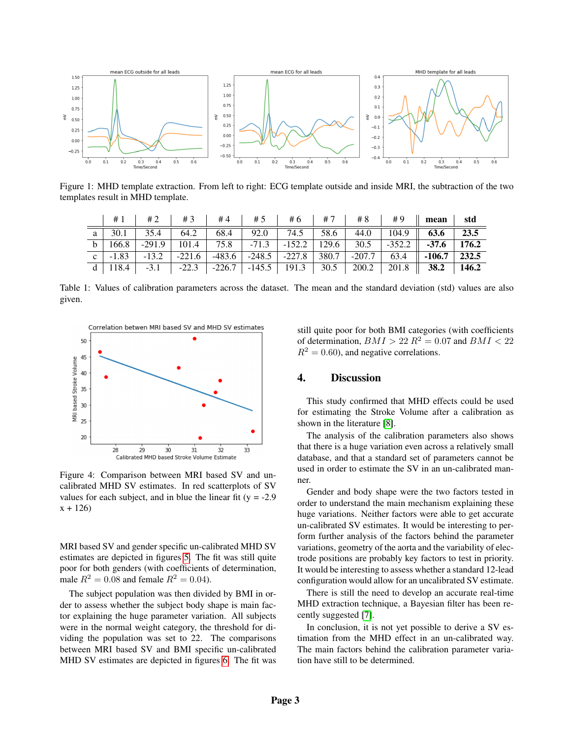<span id="page-2-0"></span>

Figure 1: MHD template extraction. From left to right: ECG template outside and inside MRI, the subtraction of the two templates result in MHD template.

<span id="page-2-1"></span>

|  |  |  |  |  | # 1   # 2   # 3   # 4   # 5   # 6   # 7   # 8   # 9    mean   std                              |  |
|--|--|--|--|--|------------------------------------------------------------------------------------------------|--|
|  |  |  |  |  | a 30.1 35.4 64.2 68.4 92.0 74.5 58.6 44.0 104.9 63.6 23.5                                      |  |
|  |  |  |  |  | b   166.8   -291.9   101.4   75.8   -71.3   -152.2   129.6   30.5   -352.2    -37.6   176.2    |  |
|  |  |  |  |  | c $-1.83$ $-13.2$ $-221.6$ $-483.6$ $-248.5$ $-227.8$ $380.7$ $-207.7$ $63.4$ $-106.7$ $232.5$ |  |
|  |  |  |  |  | d 118.4 -3.1 -22.3 -226.7 -145.5 191.3 30.5 200.2 201.8 38.2 146.2                             |  |

Table 1: Values of calibration parameters across the dataset. The mean and the standard deviation (std) values are also given.

<span id="page-2-2"></span>

Figure 4: Comparison between MRI based SV and uncalibrated MHD SV estimates. In red scatterplots of SV values for each subject, and in blue the linear fit  $(y = -2.9$  $x + 126$ 

MRI based SV and gender specific un-calibrated MHD SV estimates are depicted in figures [5.](#page-3-9) The fit was still quite poor for both genders (with coefficients of determination, male  $R^2 = 0.08$  and female  $R^2 = 0.04$ .

The subject population was then divided by BMI in order to assess whether the subject body shape is main factor explaining the huge parameter variation. All subjects were in the normal weight category, the threshold for dividing the population was set to 22. The comparisons between MRI based SV and BMI specific un-calibrated MHD SV estimates are depicted in figures [6.](#page-3-10) The fit was

still quite poor for both BMI categories (with coefficients of determination,  $BMI > 22 R^2 = 0.07$  and  $BMI < 22$  $R^2 = 0.60$ , and negative correlations.

## 4. Discussion

This study confirmed that MHD effects could be used for estimating the Stroke Volume after a calibration as shown in the literature [\[8\]](#page-3-7).

The analysis of the calibration parameters also shows that there is a huge variation even across a relatively small database, and that a standard set of parameters cannot be used in order to estimate the SV in an un-calibrated manner.

Gender and body shape were the two factors tested in order to understand the main mechanism explaining these huge variations. Neither factors were able to get accurate un-calibrated SV estimates. It would be interesting to perform further analysis of the factors behind the parameter variations, geometry of the aorta and the variability of electrode positions are probably key factors to test in priority. It would be interesting to assess whether a standard 12-lead configuration would allow for an uncalibrated SV estimate.

There is still the need to develop an accurate real-time MHD extraction technique, a Bayesian filter has been recently suggested [\[7\]](#page-3-6).

In conclusion, it is not yet possible to derive a SV estimation from the MHD effect in an un-calibrated way. The main factors behind the calibration parameter variation have still to be determined.